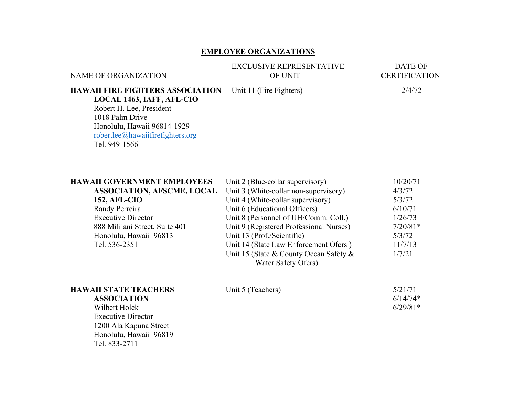## **EMPLOYEE ORGANIZATIONS**

| <b>NAME OF ORGANIZATION</b>                                                                                                                                                                                                | <b>EXCLUSIVE REPRESENTATIVE</b><br>OF UNIT                                                                                                                                                                                                                                                                                                                                 | <b>DATE OF</b><br><b>CERTIFICATION</b>                                                          |
|----------------------------------------------------------------------------------------------------------------------------------------------------------------------------------------------------------------------------|----------------------------------------------------------------------------------------------------------------------------------------------------------------------------------------------------------------------------------------------------------------------------------------------------------------------------------------------------------------------------|-------------------------------------------------------------------------------------------------|
| <b>HAWAII FIRE FIGHTERS ASSOCIATION</b><br>LOCAL 1463, IAFF, AFL-CIO<br>Robert H. Lee, President<br>1018 Palm Drive<br>Honolulu, Hawaii 96814-1929<br>robertlee@hawaiifirefighters.org<br>Tel. 949-1566                    | Unit 11 (Fire Fighters)                                                                                                                                                                                                                                                                                                                                                    | 2/4/72                                                                                          |
| <b>HAWAII GOVERNMENT EMPLOYEES</b><br><b>ASSOCIATION, AFSCME, LOCAL</b><br><b>152, AFL-CIO</b><br>Randy Perreira<br><b>Executive Director</b><br>888 Mililani Street, Suite 401<br>Honolulu, Hawaii 96813<br>Tel. 536-2351 | Unit 2 (Blue-collar supervisory)<br>Unit 3 (White-collar non-supervisory)<br>Unit 4 (White-collar supervisory)<br>Unit 6 (Educational Officers)<br>Unit 8 (Personnel of UH/Comm. Coll.)<br>Unit 9 (Registered Professional Nurses)<br>Unit 13 (Prof./Scientific)<br>Unit 14 (State Law Enforcement Ofcrs)<br>Unit 15 (State & County Ocean Safety &<br>Water Safety Ofcrs) | 10/20/71<br>4/3/72<br>5/3/72<br>6/10/71<br>1/26/73<br>$7/20/81*$<br>5/3/72<br>11/7/13<br>1/7/21 |
| <b>HAWAII STATE TEACHERS</b><br><b>ASSOCIATION</b><br>Wilbert Holck<br><b>Executive Director</b>                                                                                                                           | Unit 5 (Teachers)                                                                                                                                                                                                                                                                                                                                                          | 5/21/71<br>$6/14/74*$<br>$6/29/81*$                                                             |

1200 Ala Kapuna Street Honolulu, Hawaii 96819 Tel. 833-2711